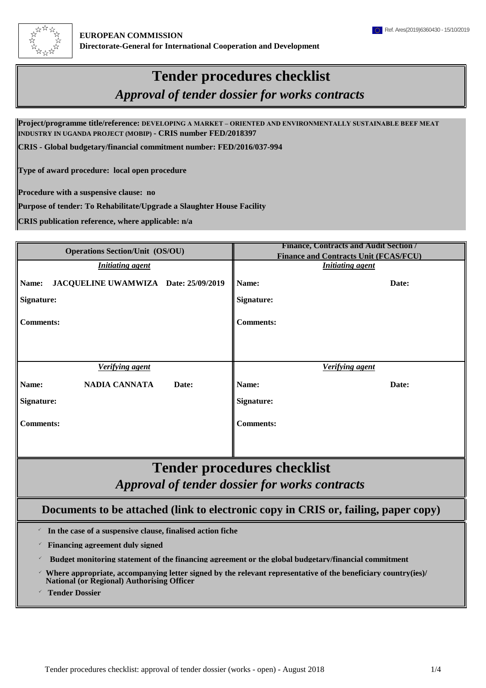

## **Tender procedures checklist**

*Approval of tender dossier for works contracts*

**Project/programme title/reference: DEVELOPING A MARKET – ORIENTED AND ENVIRONMENTALLY SUSTAINABLE BEEF MEAT INDUSTRY IN UGANDA PROJECT (MOBIP) - CRIS number FED/2018397**

**CRIS - Global budgetary/financial commitment number: FED/2016/037-994**

**Type of award procedure: local open procedure**

**Procedure with a suspensive clause: no**

**Purpose of tender: To Rehabilitate/Upgrade a Slaughter House Facility**

**CRIS publication reference, where applicable: n/a**

| <b>Operations Section/Unit (OS/OU)</b>        | <b>Finance, Contracts and Audit Section /</b><br><b>Finance and Contracts Unit (FCAS/FCU)</b> |  |  |  |  |  |  |  |  |
|-----------------------------------------------|-----------------------------------------------------------------------------------------------|--|--|--|--|--|--|--|--|
| <b>Initiating agent</b>                       | <b>Initiating agent</b>                                                                       |  |  |  |  |  |  |  |  |
| JACQUELINE UWAMWIZA Date: 25/09/2019<br>Name: | Name:<br>Date:                                                                                |  |  |  |  |  |  |  |  |
| <b>Signature:</b>                             | <b>Signature:</b>                                                                             |  |  |  |  |  |  |  |  |
| <b>Comments:</b>                              | <b>Comments:</b>                                                                              |  |  |  |  |  |  |  |  |
|                                               |                                                                                               |  |  |  |  |  |  |  |  |
| <b>Verifying agent</b>                        | <b>Verifying agent</b>                                                                        |  |  |  |  |  |  |  |  |
| NADIA CANNATA<br>Name:<br>Date:               | Name:<br>Date:                                                                                |  |  |  |  |  |  |  |  |
| Signature:                                    | Signature:                                                                                    |  |  |  |  |  |  |  |  |
| <b>Comments:</b>                              | <b>Comments:</b>                                                                              |  |  |  |  |  |  |  |  |
|                                               |                                                                                               |  |  |  |  |  |  |  |  |

## *Approval of tender dossier for works contracts* **Tender procedures checklist**

## **Documents to be attached (link to electronic copy in CRIS or, failing, paper copy)**

 $\checkmark$  **In the case of a suspensive clause, finalised action fiche**

 $\checkmark$  **Financing agreement duly signed** 

<sup>P</sup> **Budget monitoring statement of the financing agreement or the global budgetary/financial commitment**

 $\checkmark$ **Where appropriate, accompanying letter signed by the relevant representative of the beneficiary country(ies)/ National (or Regional) Authorising Officer**

**Tender Dossier**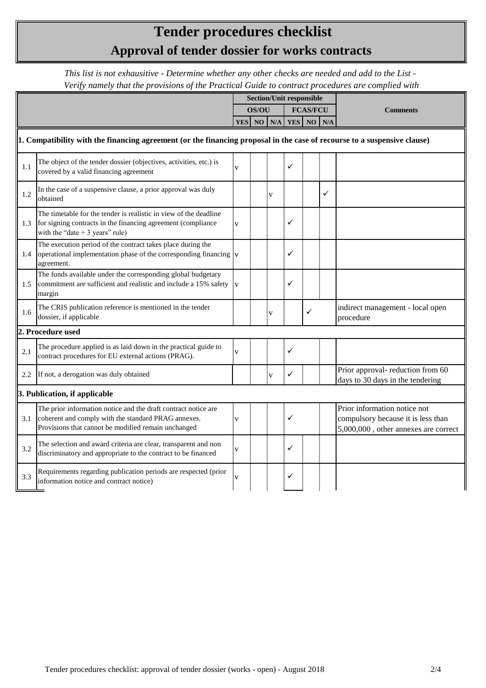## **Approval of tender dossier for works contracts Tender procedures checklist**

*This list is not exhausitive - Determine whether any other checks are needed and add to the List - Verify namely that the provisions of the Practical Guide to contract procedures are complied with*

|                                                                                                                          |                                                                                                                                                                              | <b>Section/Unit responsible</b> |            |   |                 |   |   |                                                                                                            |
|--------------------------------------------------------------------------------------------------------------------------|------------------------------------------------------------------------------------------------------------------------------------------------------------------------------|---------------------------------|------------|---|-----------------|---|---|------------------------------------------------------------------------------------------------------------|
|                                                                                                                          |                                                                                                                                                                              |                                 | OS/OU      |   | <b>FCAS/FCU</b> |   |   | <b>Comments</b>                                                                                            |
|                                                                                                                          |                                                                                                                                                                              |                                 | YES NO N/A |   | YES NO N/A      |   |   |                                                                                                            |
| 1. Compatibility with the financing agreement (or the financing proposal in the case of recourse to a suspensive clause) |                                                                                                                                                                              |                                 |            |   |                 |   |   |                                                                                                            |
| 1.1                                                                                                                      | The object of the tender dossier (objectives, activities, etc.) is<br>covered by a valid financing agreement                                                                 | V                               |            |   |                 |   |   |                                                                                                            |
| 1.2                                                                                                                      | In the case of a suspensive clause, a prior approval was duly<br>obtained                                                                                                    |                                 |            | V |                 |   | ✓ |                                                                                                            |
| 1.3                                                                                                                      | The timetable for the tender is realistic in view of the deadline<br>for signing contracts in the financing agreement (compliance<br>with the "date $+3$ years" rule)        | v                               |            |   | ✓               |   |   |                                                                                                            |
| 1.4                                                                                                                      | The execution period of the contract takes place during the<br>operational implementation phase of the corresponding financing<br>agreement.                                 | $\overline{\mathbf{V}}$         |            |   | ✓               |   |   |                                                                                                            |
| 1.5                                                                                                                      | The funds available under the corresponding global budgetary<br>commitment are sufficient and realistic and include a 15% safety<br>margin                                   |                                 |            |   | ✓               |   |   |                                                                                                            |
| 1.6                                                                                                                      | The CRIS publication reference is mentioned in the tender<br>dossier, if applicable                                                                                          |                                 |            | V |                 | ✓ |   | indirect management - local open<br>procedure                                                              |
|                                                                                                                          | 2. Procedure used                                                                                                                                                            |                                 |            |   |                 |   |   |                                                                                                            |
| 2.1                                                                                                                      | The procedure applied is as laid down in the practical guide to<br>contract procedures for EU external actions (PRAG).                                                       |                                 |            |   |                 |   |   |                                                                                                            |
| 2.2                                                                                                                      | If not, a derogation was duly obtained                                                                                                                                       |                                 |            | V | ✓               |   |   | Prior approval- reduction from 60<br>days to 30 days in the tendering                                      |
|                                                                                                                          | 3. Publication, if applicable                                                                                                                                                |                                 |            |   |                 |   |   |                                                                                                            |
| 3.1                                                                                                                      | The prior information notice and the draft contract notice are<br>coherent and comply with the standard PRAG annexes.<br>Provisions that cannot be modified remain unchanged | $\overline{\mathbf{V}}$         |            |   |                 |   |   | Prior information notice not<br>compulsory because it is less than<br>5,000,000, other annexes are correct |
| 3.2                                                                                                                      | The selection and award criteria are clear, transparent and non<br>discriminatory and appropriate to the contract to be financed                                             | V                               |            |   | ✓               |   |   |                                                                                                            |
| 3.3                                                                                                                      | Requirements regarding publication periods are respected (prior<br>information notice and contract notice)                                                                   |                                 |            |   | ✓               |   |   |                                                                                                            |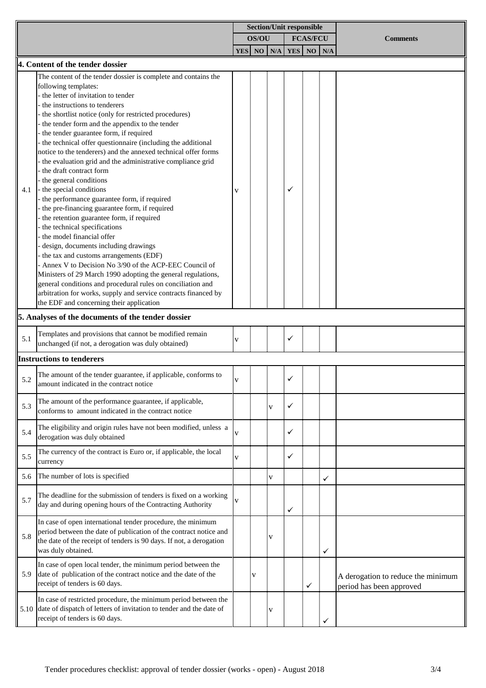|     |                                                                                                                                 | <b>Section/Unit responsible</b> |    |  |                 |            |                 |            |                                    |
|-----|---------------------------------------------------------------------------------------------------------------------------------|---------------------------------|----|--|-----------------|------------|-----------------|------------|------------------------------------|
|     |                                                                                                                                 | OS/OU                           |    |  | <b>FCAS/FCU</b> |            | <b>Comments</b> |            |                                    |
|     |                                                                                                                                 |                                 |    |  | YES NO N/A      | <b>YES</b> |                 | $NO$ $N/A$ |                                    |
|     | 4. Content of the tender dossier                                                                                                |                                 |    |  |                 |            |                 |            |                                    |
|     | The content of the tender dossier is complete and contains the                                                                  |                                 |    |  |                 |            |                 |            |                                    |
|     | following templates:                                                                                                            |                                 |    |  |                 |            |                 |            |                                    |
|     | - the letter of invitation to tender                                                                                            |                                 |    |  |                 |            |                 |            |                                    |
|     | the instructions to tenderers                                                                                                   |                                 |    |  |                 |            |                 |            |                                    |
|     | the shortlist notice (only for restricted procedures)                                                                           |                                 |    |  |                 |            |                 |            |                                    |
|     | the tender form and the appendix to the tender                                                                                  |                                 |    |  |                 |            |                 |            |                                    |
|     | the tender guarantee form, if required                                                                                          |                                 |    |  |                 |            |                 |            |                                    |
|     | - the technical offer questionnaire (including the additional<br>notice to the tenderers) and the annexed technical offer forms |                                 |    |  |                 |            |                 |            |                                    |
|     | the evaluation grid and the administrative compliance grid                                                                      |                                 |    |  |                 |            |                 |            |                                    |
|     | the draft contract form                                                                                                         |                                 |    |  |                 |            |                 |            |                                    |
|     | the general conditions                                                                                                          |                                 |    |  |                 |            |                 |            |                                    |
| 4.1 | the special conditions                                                                                                          |                                 |    |  |                 |            |                 |            |                                    |
|     | the performance guarantee form, if required                                                                                     |                                 |    |  |                 |            |                 |            |                                    |
|     | the pre-financing guarantee form, if required                                                                                   |                                 |    |  |                 |            |                 |            |                                    |
|     | the retention guarantee form, if required                                                                                       |                                 |    |  |                 |            |                 |            |                                    |
|     | the technical specifications                                                                                                    |                                 |    |  |                 |            |                 |            |                                    |
|     | the model financial offer                                                                                                       |                                 |    |  |                 |            |                 |            |                                    |
|     | design, documents including drawings                                                                                            |                                 |    |  |                 |            |                 |            |                                    |
|     | the tax and customs arrangements (EDF)<br>Annex V to Decision No 3/90 of the ACP-EEC Council of                                 |                                 |    |  |                 |            |                 |            |                                    |
|     | Ministers of 29 March 1990 adopting the general regulations,                                                                    |                                 |    |  |                 |            |                 |            |                                    |
|     | general conditions and procedural rules on conciliation and                                                                     |                                 |    |  |                 |            |                 |            |                                    |
|     | arbitration for works, supply and service contracts financed by                                                                 |                                 |    |  |                 |            |                 |            |                                    |
|     | the EDF and concerning their application                                                                                        |                                 |    |  |                 |            |                 |            |                                    |
|     | 5. Analyses of the documents of the tender dossier                                                                              |                                 |    |  |                 |            |                 |            |                                    |
| 5.1 | Templates and provisions that cannot be modified remain<br>unchanged (if not, a derogation was duly obtained)                   | V                               |    |  |                 |            |                 |            |                                    |
|     | <b>Instructions to tenderers</b>                                                                                                |                                 |    |  |                 |            |                 |            |                                    |
|     |                                                                                                                                 |                                 |    |  |                 |            |                 |            |                                    |
| 5.2 | The amount of the tender guarantee, if applicable, conforms to<br>amount indicated in the contract notice                       | V                               |    |  |                 | ✓          |                 |            |                                    |
| 5.3 | The amount of the performance guarantee, if applicable,<br>conforms to amount indicated in the contract notice                  |                                 |    |  | İ٧              | ✓          |                 |            |                                    |
|     |                                                                                                                                 |                                 |    |  |                 |            |                 |            |                                    |
| 5.4 | The eligibility and origin rules have not been modified, unless a                                                               | V                               |    |  |                 |            |                 |            |                                    |
|     | derogation was duly obtained                                                                                                    |                                 |    |  |                 |            |                 |            |                                    |
|     | The currency of the contract is Euro or, if applicable, the local                                                               |                                 |    |  |                 |            |                 |            |                                    |
| 5.5 | currency                                                                                                                        | V                               |    |  |                 | ✓          |                 |            |                                    |
| 5.6 | The number of lots is specified                                                                                                 |                                 |    |  | įν              |            |                 | ✓          |                                    |
|     | The deadline for the submission of tenders is fixed on a working                                                                |                                 |    |  |                 |            |                 |            |                                    |
| 5.7 | day and during opening hours of the Contracting Authority                                                                       |                                 |    |  |                 | ✓          |                 |            |                                    |
|     | In case of open international tender procedure, the minimum                                                                     |                                 |    |  |                 |            |                 |            |                                    |
|     | period between the date of publication of the contract notice and                                                               |                                 |    |  |                 |            |                 |            |                                    |
| 5.8 | the date of the receipt of tenders is 90 days. If not, a derogation                                                             |                                 |    |  | įγ              |            |                 |            |                                    |
|     | was duly obtained.                                                                                                              |                                 |    |  |                 |            |                 | ✓          |                                    |
|     | In case of open local tender, the minimum period between the                                                                    |                                 |    |  |                 |            |                 |            |                                    |
| 5.9 | date of publication of the contract notice and the date of the                                                                  |                                 | E٧ |  |                 |            |                 |            |                                    |
|     | receipt of tenders is 60 days.                                                                                                  |                                 |    |  |                 |            | ✓               |            | A derogation to reduce the minimum |
|     |                                                                                                                                 |                                 |    |  |                 |            |                 |            | period has been approved           |
|     | In case of restricted procedure, the minimum period between the                                                                 |                                 |    |  |                 |            |                 |            |                                    |
|     | 5.10 date of dispatch of letters of invitation to tender and the date of<br>receipt of tenders is 60 days.                      |                                 |    |  | įγ              |            |                 |            |                                    |
|     |                                                                                                                                 |                                 |    |  |                 |            |                 |            |                                    |